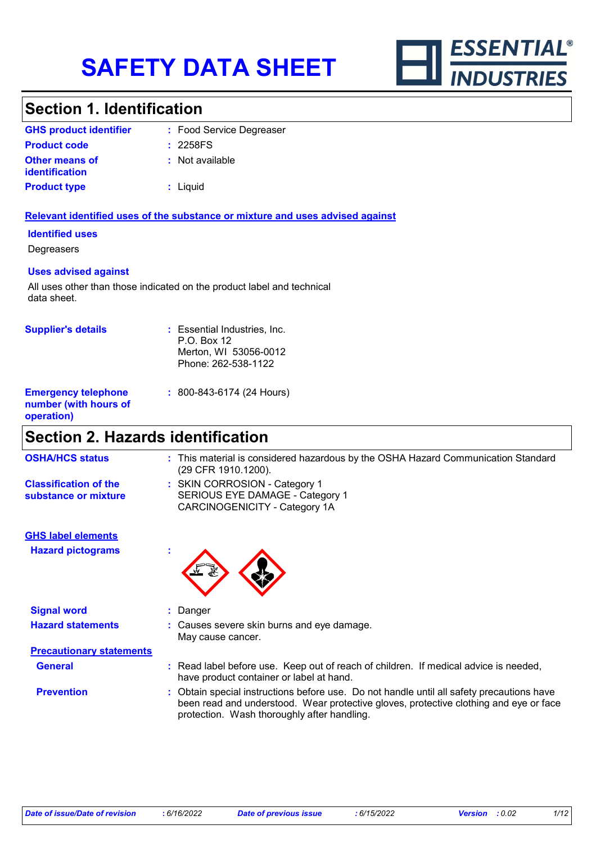

# **Section 1. Identification**

| <b>GHS product identifier</b>                  | : Food Service Degreaser |
|------------------------------------------------|--------------------------|
| <b>Product code</b>                            | : 2258FS                 |
| <b>Other means of</b><br><b>identification</b> | : Not available          |
| <b>Product type</b>                            | : Liguid                 |

#### **Relevant identified uses of the substance or mixture and uses advised against**

#### **Identified uses**

**Degreasers** 

#### **Uses advised against**

All uses other than those indicated on the product label and technical data sheet.

| <b>Supplier's details</b>                                         | : Essential Industries, Inc.<br>$P.O.$ Box 12<br>Merton, WI 53056-0012<br>Phone: 262-538-1122 |
|-------------------------------------------------------------------|-----------------------------------------------------------------------------------------------|
| <b>Emergency telephone</b><br>number (with hours of<br>operation) | $: 800 - 843 - 6174 (24$ Hours)                                                               |

# **Section 2. Hazards identification**

| <b>OSHA/HCS status</b>                               | This material is considered hazardous by the OSHA Hazard Communication Standard<br>(29 CFR 1910.1200).                                                                                                                          |
|------------------------------------------------------|---------------------------------------------------------------------------------------------------------------------------------------------------------------------------------------------------------------------------------|
| <b>Classification of the</b><br>substance or mixture | : SKIN CORROSION - Category 1<br>SERIOUS EYE DAMAGE - Category 1<br>CARCINOGENICITY - Category 1A                                                                                                                               |
| <b>GHS label elements</b>                            |                                                                                                                                                                                                                                 |
| <b>Hazard pictograms</b>                             | t                                                                                                                                                                                                                               |
| <b>Signal word</b>                                   | : Danger                                                                                                                                                                                                                        |
| <b>Hazard statements</b>                             | : Causes severe skin burns and eye damage.<br>May cause cancer.                                                                                                                                                                 |
| <b>Precautionary statements</b>                      |                                                                                                                                                                                                                                 |
| <b>General</b>                                       | Read label before use. Keep out of reach of children. If medical advice is needed,<br>have product container or label at hand.                                                                                                  |
| <b>Prevention</b>                                    | Obtain special instructions before use. Do not handle until all safety precautions have<br>been read and understood. Wear protective gloves, protective clothing and eye or face<br>protection. Wash thoroughly after handling. |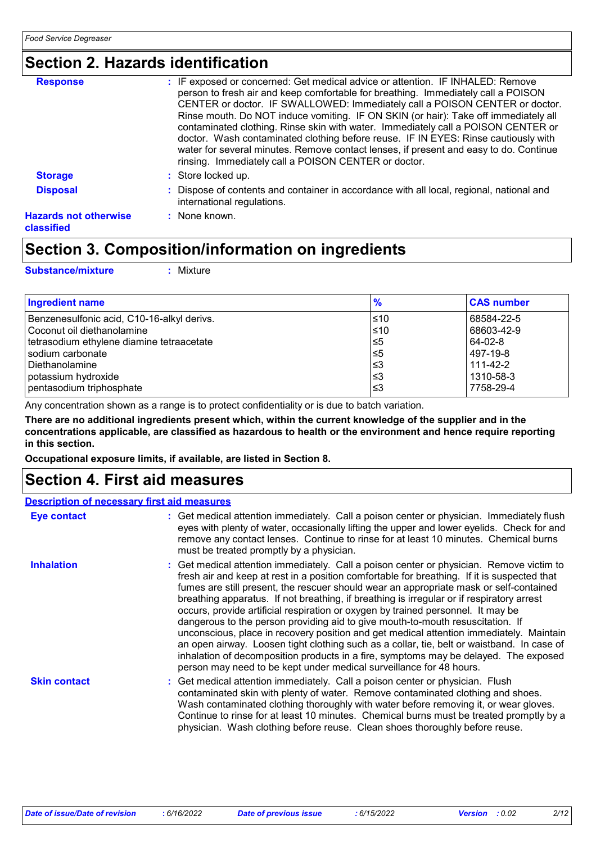# **Section 2. Hazards identification**

| <b>Response</b>                            | : IF exposed or concerned: Get medical advice or attention. IF INHALED: Remove<br>person to fresh air and keep comfortable for breathing. Immediately call a POISON                                                                                                                                                                                                                                                                                                                            |
|--------------------------------------------|------------------------------------------------------------------------------------------------------------------------------------------------------------------------------------------------------------------------------------------------------------------------------------------------------------------------------------------------------------------------------------------------------------------------------------------------------------------------------------------------|
|                                            | CENTER or doctor. IF SWALLOWED: Immediately call a POISON CENTER or doctor.<br>Rinse mouth. Do NOT induce vomiting. IF ON SKIN (or hair): Take off immediately all<br>contaminated clothing. Rinse skin with water. Immediately call a POISON CENTER or<br>doctor. Wash contaminated clothing before reuse. IF IN EYES: Rinse cautiously with<br>water for several minutes. Remove contact lenses, if present and easy to do. Continue<br>rinsing. Immediately call a POISON CENTER or doctor. |
| <b>Storage</b>                             | : Store locked up.                                                                                                                                                                                                                                                                                                                                                                                                                                                                             |
| <b>Disposal</b>                            | : Dispose of contents and container in accordance with all local, regional, national and<br>international regulations.                                                                                                                                                                                                                                                                                                                                                                         |
| <b>Hazards not otherwise</b><br>classified | : None known.                                                                                                                                                                                                                                                                                                                                                                                                                                                                                  |

## **Section 3. Composition/information on ingredients**

| <b>Substance/mixture</b> | $:$ Mixture |
|--------------------------|-------------|
|--------------------------|-------------|

| Ingredient name                            | $\frac{9}{6}$ | <b>CAS number</b> |
|--------------------------------------------|---------------|-------------------|
| Benzenesulfonic acid, C10-16-alkyl derivs. | l≤10          | 68584-22-5        |
| Coconut oil diethanolamine                 | $≤10$         | 68603-42-9        |
| tetrasodium ethylene diamine tetraacetate  | $\leq 5$      | 64-02-8           |
| sodium carbonate                           | $\leq 5$      | 497-19-8          |
| l Diethanolamine                           | l≤3           | $111 - 42 - 2$    |
| potassium hydroxide                        | l≤3           | 1310-58-3         |
| pentasodium triphosphate                   | ՝≤3           | 7758-29-4         |

Any concentration shown as a range is to protect confidentiality or is due to batch variation.

**There are no additional ingredients present which, within the current knowledge of the supplier and in the concentrations applicable, are classified as hazardous to health or the environment and hence require reporting in this section.**

**Occupational exposure limits, if available, are listed in Section 8.**

### **Section 4. First aid measures**

### **Description of necessary first aid measures**

| <b>Eye contact</b>  | : Get medical attention immediately. Call a poison center or physician. Immediately flush<br>eyes with plenty of water, occasionally lifting the upper and lower eyelids. Check for and<br>remove any contact lenses. Continue to rinse for at least 10 minutes. Chemical burns<br>must be treated promptly by a physician.                                                                                                                                                                                                                                                                                                                                                                                                                                                                                                                                                                                  |
|---------------------|--------------------------------------------------------------------------------------------------------------------------------------------------------------------------------------------------------------------------------------------------------------------------------------------------------------------------------------------------------------------------------------------------------------------------------------------------------------------------------------------------------------------------------------------------------------------------------------------------------------------------------------------------------------------------------------------------------------------------------------------------------------------------------------------------------------------------------------------------------------------------------------------------------------|
| <b>Inhalation</b>   | : Get medical attention immediately. Call a poison center or physician. Remove victim to<br>fresh air and keep at rest in a position comfortable for breathing. If it is suspected that<br>fumes are still present, the rescuer should wear an appropriate mask or self-contained<br>breathing apparatus. If not breathing, if breathing is irregular or if respiratory arrest<br>occurs, provide artificial respiration or oxygen by trained personnel. It may be<br>dangerous to the person providing aid to give mouth-to-mouth resuscitation. If<br>unconscious, place in recovery position and get medical attention immediately. Maintain<br>an open airway. Loosen tight clothing such as a collar, tie, belt or waistband. In case of<br>inhalation of decomposition products in a fire, symptoms may be delayed. The exposed<br>person may need to be kept under medical surveillance for 48 hours. |
| <b>Skin contact</b> | : Get medical attention immediately. Call a poison center or physician. Flush<br>contaminated skin with plenty of water. Remove contaminated clothing and shoes.<br>Wash contaminated clothing thoroughly with water before removing it, or wear gloves.<br>Continue to rinse for at least 10 minutes. Chemical burns must be treated promptly by a<br>physician. Wash clothing before reuse. Clean shoes thoroughly before reuse.                                                                                                                                                                                                                                                                                                                                                                                                                                                                           |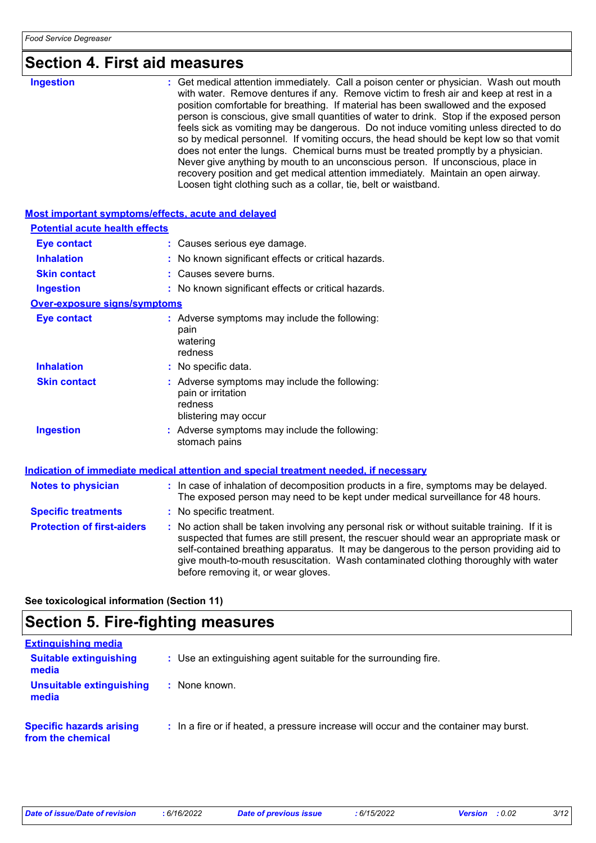| <b>Ingestion</b>                      | : Get medical attention immediately. Call a poison center or physician. Wash out mouth<br>with water. Remove dentures if any. Remove victim to fresh air and keep at rest in a<br>position comfortable for breathing. If material has been swallowed and the exposed<br>person is conscious, give small quantities of water to drink. Stop if the exposed person<br>feels sick as vomiting may be dangerous. Do not induce vomiting unless directed to do<br>so by medical personnel. If vomiting occurs, the head should be kept low so that vomit<br>does not enter the lungs. Chemical burns must be treated promptly by a physician.<br>Never give anything by mouth to an unconscious person. If unconscious, place in<br>recovery position and get medical attention immediately. Maintain an open airway.<br>Loosen tight clothing such as a collar, tie, belt or waistband. |
|---------------------------------------|-------------------------------------------------------------------------------------------------------------------------------------------------------------------------------------------------------------------------------------------------------------------------------------------------------------------------------------------------------------------------------------------------------------------------------------------------------------------------------------------------------------------------------------------------------------------------------------------------------------------------------------------------------------------------------------------------------------------------------------------------------------------------------------------------------------------------------------------------------------------------------------|
|                                       | Most important symptoms/effects, acute and delayed                                                                                                                                                                                                                                                                                                                                                                                                                                                                                                                                                                                                                                                                                                                                                                                                                                  |
| <b>Potential acute health effects</b> |                                                                                                                                                                                                                                                                                                                                                                                                                                                                                                                                                                                                                                                                                                                                                                                                                                                                                     |
| Eye contact                           | : Causes serious eye damage.                                                                                                                                                                                                                                                                                                                                                                                                                                                                                                                                                                                                                                                                                                                                                                                                                                                        |
| <b>Inhalation</b>                     | : No known significant effects or critical hazards.                                                                                                                                                                                                                                                                                                                                                                                                                                                                                                                                                                                                                                                                                                                                                                                                                                 |
|                                       |                                                                                                                                                                                                                                                                                                                                                                                                                                                                                                                                                                                                                                                                                                                                                                                                                                                                                     |

**Skin contact :** Causes severe burns.

### **Ingestion :** No known significant effects or critical hazards.

### **Over-exposure signs/symptoms**

| <b>Eye contact</b>  | : Adverse symptoms may include the following:<br>pain<br>watering<br>redness                           |
|---------------------|--------------------------------------------------------------------------------------------------------|
| <b>Inhalation</b>   | : No specific data.                                                                                    |
| <b>Skin contact</b> | : Adverse symptoms may include the following:<br>pain or irritation<br>redness<br>blistering may occur |
| <b>Ingestion</b>    | : Adverse symptoms may include the following:<br>stomach pains                                         |

### **Indication of immediate medical attention and special treatment needed, if necessary**

| <b>Notes to physician</b>         | : In case of inhalation of decomposition products in a fire, symptoms may be delayed.<br>The exposed person may need to be kept under medical surveillance for 48 hours.                                                                                                                                                                                                                                        |
|-----------------------------------|-----------------------------------------------------------------------------------------------------------------------------------------------------------------------------------------------------------------------------------------------------------------------------------------------------------------------------------------------------------------------------------------------------------------|
| <b>Specific treatments</b>        | : No specific treatment.                                                                                                                                                                                                                                                                                                                                                                                        |
| <b>Protection of first-aiders</b> | : No action shall be taken involving any personal risk or without suitable training. If it is<br>suspected that fumes are still present, the rescuer should wear an appropriate mask or<br>self-contained breathing apparatus. It may be dangerous to the person providing aid to<br>give mouth-to-mouth resuscitation. Wash contaminated clothing thoroughly with water<br>before removing it, or wear gloves. |

**See toxicological information (Section 11)**

# **Section 5. Fire-fighting measures**

| <b>Extinguishing media</b>                           |                                                                                       |
|------------------------------------------------------|---------------------------------------------------------------------------------------|
| <b>Suitable extinguishing</b><br>media               | : Use an extinguishing agent suitable for the surrounding fire.                       |
| Unsuitable extinguishing<br>media                    | : None known.                                                                         |
| <b>Specific hazards arising</b><br>from the chemical | : In a fire or if heated, a pressure increase will occur and the container may burst. |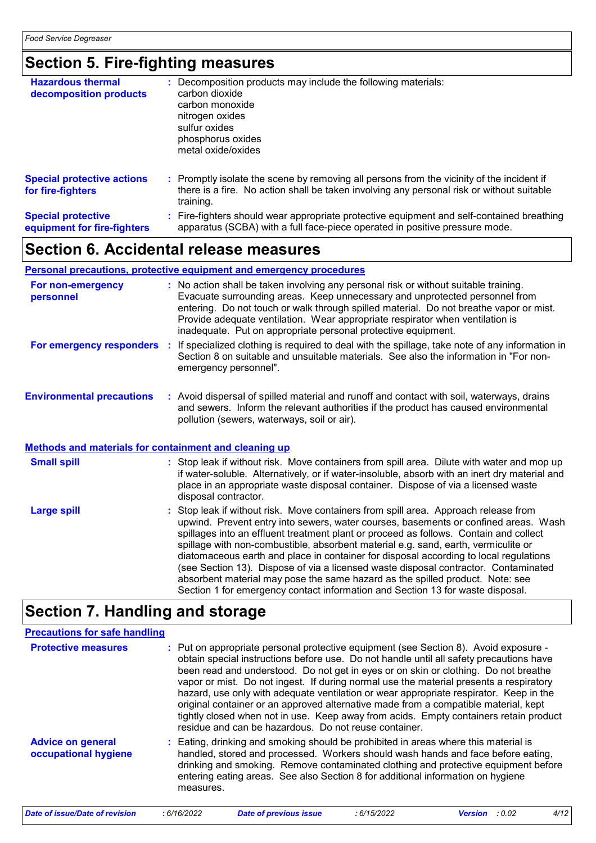# **Section 5. Fire-fighting measures**

| <b>Hazardous thermal</b><br>decomposition products       | : Decomposition products may include the following materials:<br>carbon dioxide<br>carbon monoxide<br>nitrogen oxides<br>sulfur oxides<br>phosphorus oxides<br>metal oxide/oxides                   |
|----------------------------------------------------------|-----------------------------------------------------------------------------------------------------------------------------------------------------------------------------------------------------|
| <b>Special protective actions</b><br>for fire-fighters   | : Promptly isolate the scene by removing all persons from the vicinity of the incident if<br>there is a fire. No action shall be taken involving any personal risk or without suitable<br>training. |
| <b>Special protective</b><br>equipment for fire-fighters | : Fire-fighters should wear appropriate protective equipment and self-contained breathing<br>apparatus (SCBA) with a full face-piece operated in positive pressure mode.                            |

# **Section 6. Accidental release measures**

### **Personal precautions, protective equipment and emergency procedures**

| For non-emergency<br>personnel                               | : No action shall be taken involving any personal risk or without suitable training.<br>Evacuate surrounding areas. Keep unnecessary and unprotected personnel from<br>entering. Do not touch or walk through spilled material. Do not breathe vapor or mist.<br>Provide adequate ventilation. Wear appropriate respirator when ventilation is<br>inadequate. Put on appropriate personal protective equipment. |
|--------------------------------------------------------------|-----------------------------------------------------------------------------------------------------------------------------------------------------------------------------------------------------------------------------------------------------------------------------------------------------------------------------------------------------------------------------------------------------------------|
| For emergency responders                                     | : If specialized clothing is required to deal with the spillage, take note of any information in<br>Section 8 on suitable and unsuitable materials. See also the information in "For non-<br>emergency personnel".                                                                                                                                                                                              |
| <b>Environmental precautions</b>                             | : Avoid dispersal of spilled material and runoff and contact with soil, waterways, drains<br>and sewers. Inform the relevant authorities if the product has caused environmental<br>pollution (sewers, waterways, soil or air).                                                                                                                                                                                 |
| <b>Methods and materials for containment and cleaning up</b> |                                                                                                                                                                                                                                                                                                                                                                                                                 |
| $\sim$ $\sim$ $\sim$ $\sim$                                  |                                                                                                                                                                                                                                                                                                                                                                                                                 |

| <b>Small spill</b> | : Stop leak if without risk. Move containers from spill area. Dilute with water and mop up    |
|--------------------|-----------------------------------------------------------------------------------------------|
|                    | if water-soluble. Alternatively, or if water-insoluble, absorb with an inert dry material and |
|                    | place in an appropriate waste disposal container. Dispose of via a licensed waste             |
|                    | disposal contractor.                                                                          |

| Large spill | : Stop leak if without risk. Move containers from spill area. Approach release from<br>upwind. Prevent entry into sewers, water courses, basements or confined areas. Wash<br>spillages into an effluent treatment plant or proceed as follows. Contain and collect<br>spillage with non-combustible, absorbent material e.g. sand, earth, vermiculite or<br>diatomaceous earth and place in container for disposal according to local regulations<br>(see Section 13). Dispose of via a licensed waste disposal contractor. Contaminated<br>absorbent material may pose the same hazard as the spilled product. Note: see |
|-------------|----------------------------------------------------------------------------------------------------------------------------------------------------------------------------------------------------------------------------------------------------------------------------------------------------------------------------------------------------------------------------------------------------------------------------------------------------------------------------------------------------------------------------------------------------------------------------------------------------------------------------|
|             | Section 1 for emergency contact information and Section 13 for waste disposal.                                                                                                                                                                                                                                                                                                                                                                                                                                                                                                                                             |

# **Section 7. Handling and storage**

| <b>Precautions for safe handling</b>             |                                                                                                                                                                                                                                                                                                                                                                                                                                                                                                                                                                                                                                                                                                     |
|--------------------------------------------------|-----------------------------------------------------------------------------------------------------------------------------------------------------------------------------------------------------------------------------------------------------------------------------------------------------------------------------------------------------------------------------------------------------------------------------------------------------------------------------------------------------------------------------------------------------------------------------------------------------------------------------------------------------------------------------------------------------|
| <b>Protective measures</b>                       | : Put on appropriate personal protective equipment (see Section 8). Avoid exposure -<br>obtain special instructions before use. Do not handle until all safety precautions have<br>been read and understood. Do not get in eyes or on skin or clothing. Do not breathe<br>vapor or mist. Do not ingest. If during normal use the material presents a respiratory<br>hazard, use only with adequate ventilation or wear appropriate respirator. Keep in the<br>original container or an approved alternative made from a compatible material, kept<br>tightly closed when not in use. Keep away from acids. Empty containers retain product<br>residue and can be hazardous. Do not reuse container. |
| <b>Advice on general</b><br>occupational hygiene | : Eating, drinking and smoking should be prohibited in areas where this material is<br>handled, stored and processed. Workers should wash hands and face before eating,<br>drinking and smoking. Remove contaminated clothing and protective equipment before<br>entering eating areas. See also Section 8 for additional information on hygiene<br>measures.                                                                                                                                                                                                                                                                                                                                       |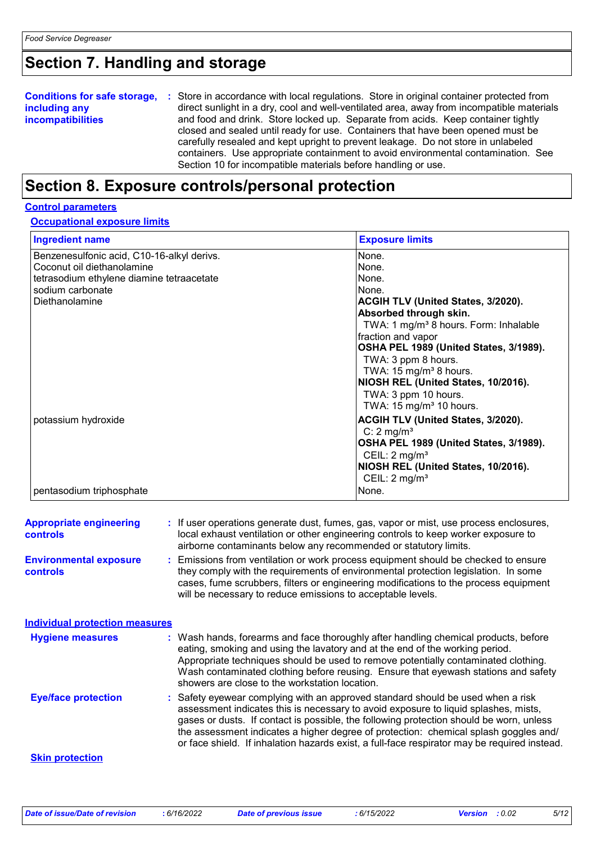# **Section 7. Handling and storage**

| <b>Conditions for safe storage,</b> | : Store in accordance with local regulations. Store in original container protected from  |
|-------------------------------------|-------------------------------------------------------------------------------------------|
| including any                       | direct sunlight in a dry, cool and well-ventilated area, away from incompatible materials |
| <b>incompatibilities</b>            | and food and drink. Store locked up. Separate from acids. Keep container tightly          |
|                                     | closed and sealed until ready for use. Containers that have been opened must be           |
|                                     | carefully resealed and kept upright to prevent leakage. Do not store in unlabeled         |
|                                     | containers. Use appropriate containment to avoid environmental contamination. See         |
|                                     | Section 10 for incompatible materials before handling or use.                             |

# **Section 8. Exposure controls/personal protection**

### **Control parameters**

### **Occupational exposure limits**

| <b>Ingredient name</b>                     | <b>Exposure limits</b>                            |
|--------------------------------------------|---------------------------------------------------|
| Benzenesulfonic acid, C10-16-alkyl derivs. | None.                                             |
| Coconut oil diethanolamine                 | None.                                             |
| tetrasodium ethylene diamine tetraacetate  | None.                                             |
| sodium carbonate                           | None.                                             |
| Diethanolamine                             | <b>ACGIH TLV (United States, 3/2020).</b>         |
|                                            | Absorbed through skin.                            |
|                                            | TWA: 1 mg/m <sup>3</sup> 8 hours. Form: Inhalable |
|                                            | fraction and vapor                                |
|                                            | OSHA PEL 1989 (United States, 3/1989).            |
|                                            | TWA: 3 ppm 8 hours.                               |
|                                            | TWA: $15 \text{ mg/m}^3$ 8 hours.                 |
|                                            | NIOSH REL (United States, 10/2016).               |
|                                            | TWA: 3 ppm 10 hours.                              |
|                                            | TWA: 15 mg/m <sup>3</sup> 10 hours.               |
| potassium hydroxide                        | ACGIH TLV (United States, 3/2020).                |
|                                            | C: $2 \text{ mg/m}^3$                             |
|                                            | OSHA PEL 1989 (United States, 3/1989).            |
|                                            | CEIL: $2 \text{ mg/m}^3$                          |
|                                            | NIOSH REL (United States, 10/2016).               |
|                                            | CEIL: $2 \text{ mg/m}^3$                          |
| pentasodium triphosphate                   | None.                                             |

| <b>Appropriate engineering</b><br><b>controls</b> | : If user operations generate dust, fumes, gas, vapor or mist, use process enclosures,<br>local exhaust ventilation or other engineering controls to keep worker exposure to<br>airborne contaminants below any recommended or statutory limits.                                                                                                                                                                                                        |
|---------------------------------------------------|---------------------------------------------------------------------------------------------------------------------------------------------------------------------------------------------------------------------------------------------------------------------------------------------------------------------------------------------------------------------------------------------------------------------------------------------------------|
| <b>Environmental exposure</b><br><b>controls</b>  | : Emissions from ventilation or work process equipment should be checked to ensure<br>they comply with the requirements of environmental protection legislation. In some<br>cases, fume scrubbers, filters or engineering modifications to the process equipment<br>will be necessary to reduce emissions to acceptable levels.                                                                                                                         |
| <b>Individual protection measures</b>             |                                                                                                                                                                                                                                                                                                                                                                                                                                                         |
| <b>Hygiene measures</b>                           | : Wash hands, forearms and face thoroughly after handling chemical products, before<br>eating, smoking and using the lavatory and at the end of the working period.<br>Appropriate techniques should be used to remove potentially contaminated clothing.<br>Wash contaminated clothing before reusing. Ensure that eyewash stations and safety<br>showers are close to the workstation location.                                                       |
| <b>Eye/face protection</b>                        | Safety eyewear complying with an approved standard should be used when a risk<br>assessment indicates this is necessary to avoid exposure to liquid splashes, mists,<br>gases or dusts. If contact is possible, the following protection should be worn, unless<br>the assessment indicates a higher degree of protection: chemical splash goggles and/<br>or face shield. If inhalation hazards exist, a full-face respirator may be required instead. |
| <b>Skin protection</b>                            |                                                                                                                                                                                                                                                                                                                                                                                                                                                         |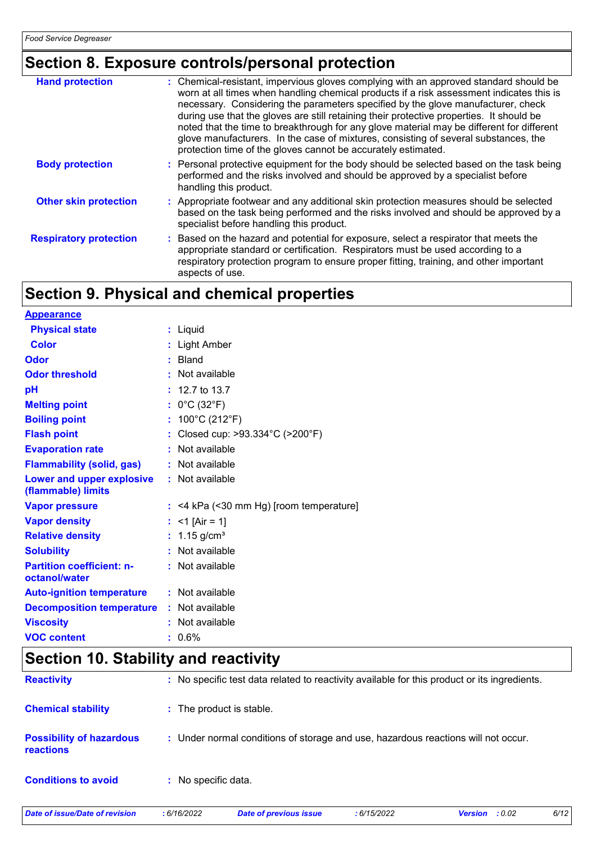# **Section 8. Exposure controls/personal protection**

| <b>Hand protection</b>        | : Chemical-resistant, impervious gloves complying with an approved standard should be<br>worn at all times when handling chemical products if a risk assessment indicates this is<br>necessary. Considering the parameters specified by the glove manufacturer, check<br>during use that the gloves are still retaining their protective properties. It should be<br>noted that the time to breakthrough for any glove material may be different for different<br>glove manufacturers. In the case of mixtures, consisting of several substances, the<br>protection time of the gloves cannot be accurately estimated. |
|-------------------------------|------------------------------------------------------------------------------------------------------------------------------------------------------------------------------------------------------------------------------------------------------------------------------------------------------------------------------------------------------------------------------------------------------------------------------------------------------------------------------------------------------------------------------------------------------------------------------------------------------------------------|
| <b>Body protection</b>        | : Personal protective equipment for the body should be selected based on the task being<br>performed and the risks involved and should be approved by a specialist before<br>handling this product.                                                                                                                                                                                                                                                                                                                                                                                                                    |
| <b>Other skin protection</b>  | : Appropriate footwear and any additional skin protection measures should be selected<br>based on the task being performed and the risks involved and should be approved by a<br>specialist before handling this product.                                                                                                                                                                                                                                                                                                                                                                                              |
| <b>Respiratory protection</b> | : Based on the hazard and potential for exposure, select a respirator that meets the<br>appropriate standard or certification. Respirators must be used according to a<br>respiratory protection program to ensure proper fitting, training, and other important<br>aspects of use.                                                                                                                                                                                                                                                                                                                                    |

# **Section 9. Physical and chemical properties**

| <b>Appearance</b>                                 |                                           |
|---------------------------------------------------|-------------------------------------------|
| <b>Physical state</b>                             | : Liquid                                  |
| <b>Color</b>                                      | : Light Amber                             |
| Odor                                              | : Bland                                   |
| <b>Odor threshold</b>                             | : Not available                           |
| рH                                                | $: 12.7$ to 13.7                          |
| <b>Melting point</b>                              | : $0^{\circ}$ C (32 $^{\circ}$ F)         |
| <b>Boiling point</b>                              | : $100^{\circ}$ C (212 $^{\circ}$ F)      |
| <b>Flash point</b>                                | : Closed cup: >93.334°C (>200°F)          |
| <b>Evaporation rate</b>                           | : Not available                           |
| <b>Flammability (solid, gas)</b>                  | : Not available                           |
| Lower and upper explosive<br>(flammable) limits   | : Not available                           |
| <b>Vapor pressure</b>                             | $:$ <4 kPa (<30 mm Hg) [room temperature] |
| <b>Vapor density</b>                              | : <1 [Air = 1]                            |
| <b>Relative density</b>                           | : $1.15$ g/cm <sup>3</sup>                |
| <b>Solubility</b>                                 | : Not available                           |
| <b>Partition coefficient: n-</b><br>octanol/water | : Not available                           |
| <b>Auto-ignition temperature</b>                  | : Not available                           |
| <b>Decomposition temperature</b>                  | : Not available                           |
| <b>Viscosity</b>                                  | : Not available                           |
| <b>VOC content</b>                                | $: 0.6\%$                                 |

# **Section 10. Stability and reactivity**

| Date of issue/Date of revision                      | :6/16/2022               | <b>Date of previous issue</b>                                                                | :6/15/2022 | : 0.02<br><b>Version</b> | 6/12 |
|-----------------------------------------------------|--------------------------|----------------------------------------------------------------------------------------------|------------|--------------------------|------|
| <b>Conditions to avoid</b>                          | : No specific data.      |                                                                                              |            |                          |      |
| <b>Possibility of hazardous</b><br><b>reactions</b> |                          | : Under normal conditions of storage and use, hazardous reactions will not occur.            |            |                          |      |
| <b>Chemical stability</b>                           | : The product is stable. |                                                                                              |            |                          |      |
| <b>Reactivity</b>                                   |                          | : No specific test data related to reactivity available for this product or its ingredients. |            |                          |      |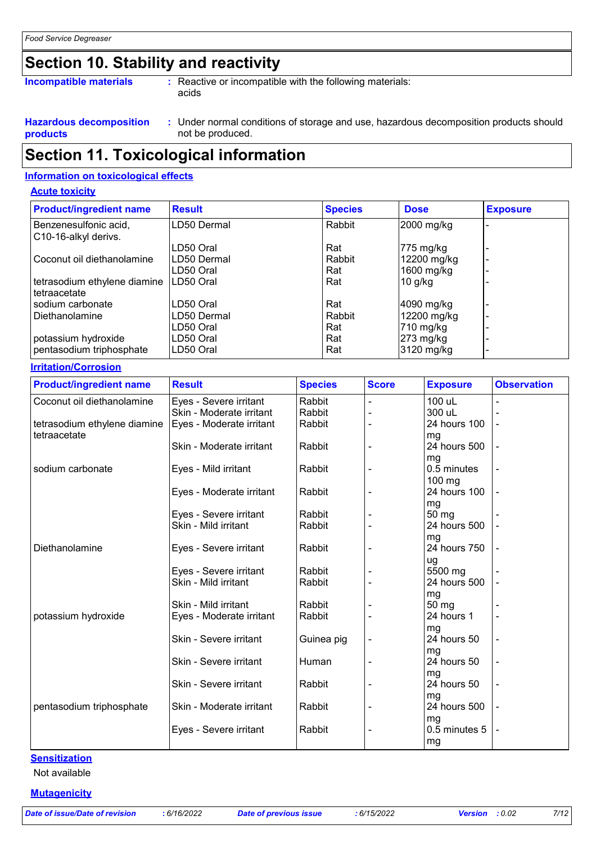# **Section 10. Stability and reactivity**

| <b>Incompatible materials</b>                     | : Reactive or incompatible with the following materials:<br>acids                                       |
|---------------------------------------------------|---------------------------------------------------------------------------------------------------------|
| <b>Hazardous decomposition</b><br><b>products</b> | Under normal conditions of storage and use, hazardous decomposition products should<br>not be produced. |

# **Section 11. Toxicological information**

### **Information on toxicological effects**

### **Acute toxicity**

| <b>Product/ingredient name</b>                | <b>Result</b> | <b>Species</b> | <b>Dose</b> | <b>Exposure</b> |
|-----------------------------------------------|---------------|----------------|-------------|-----------------|
| Benzenesulfonic acid,<br>C10-16-alkyl derivs. | LD50 Dermal   | Rabbit         | 2000 mg/kg  |                 |
|                                               | LD50 Oral     | Rat            | $775$ mg/kg |                 |
| Coconut oil diethanolamine                    | LD50 Dermal   | Rabbit         | 12200 mg/kg |                 |
|                                               | LD50 Oral     | Rat            | 1600 mg/kg  |                 |
| tetrasodium ethylene diamine<br>tetraacetate  | LD50 Oral     | Rat            | 10 g/kg     |                 |
| sodium carbonate                              | LD50 Oral     | Rat            | 4090 mg/kg  |                 |
| Diethanolamine                                | LD50 Dermal   | Rabbit         | 12200 mg/kg |                 |
|                                               | LD50 Oral     | Rat            | 710 mg/kg   |                 |
| potassium hydroxide                           | LD50 Oral     | Rat            | $273$ mg/kg |                 |
| pentasodium triphosphate                      | LD50 Oral     | Rat            | 3120 mg/kg  |                 |

#### **Irritation/Corrosion**

| <b>Product/ingredient name</b> | <b>Result</b>            | <b>Species</b> | <b>Score</b> | <b>Exposure</b> | <b>Observation</b>       |
|--------------------------------|--------------------------|----------------|--------------|-----------------|--------------------------|
| Coconut oil diethanolamine     | Eyes - Severe irritant   | Rabbit         |              | 100 uL          | ä,                       |
|                                | Skin - Moderate irritant | Rabbit         |              | 300 uL          |                          |
| tetrasodium ethylene diamine   | Eyes - Moderate irritant | Rabbit         |              | 24 hours 100    |                          |
| tetraacetate                   |                          |                |              | mg              |                          |
|                                | Skin - Moderate irritant | Rabbit         |              | 24 hours 500    |                          |
|                                |                          |                |              | mg              |                          |
| sodium carbonate               | Eyes - Mild irritant     | Rabbit         |              | 0.5 minutes     |                          |
|                                |                          |                |              | $100$ mg        |                          |
|                                | Eyes - Moderate irritant | Rabbit         |              | 24 hours 100    |                          |
|                                |                          |                |              | mg              |                          |
|                                | Eyes - Severe irritant   | Rabbit         |              | 50 mg           |                          |
|                                | Skin - Mild irritant     | Rabbit         |              | 24 hours 500    |                          |
|                                |                          |                |              | mg              |                          |
| Diethanolamine                 | Eyes - Severe irritant   | Rabbit         |              | 24 hours 750    |                          |
|                                |                          |                |              | ug              |                          |
|                                | Eyes - Severe irritant   | Rabbit         |              | 5500 mg         |                          |
|                                | Skin - Mild irritant     | Rabbit         |              | 24 hours 500    |                          |
|                                |                          |                |              | mg              |                          |
|                                | Skin - Mild irritant     | Rabbit         |              | 50 mg           |                          |
| potassium hydroxide            | Eyes - Moderate irritant | Rabbit         |              | 24 hours 1      |                          |
|                                |                          |                |              | mg              |                          |
|                                | Skin - Severe irritant   | Guinea pig     |              | 24 hours 50     |                          |
|                                |                          |                |              | mg              |                          |
|                                | Skin - Severe irritant   | Human          |              | 24 hours 50     |                          |
|                                |                          |                |              | mg              |                          |
|                                | Skin - Severe irritant   | Rabbit         |              | 24 hours 50     | $\overline{\phantom{a}}$ |
|                                |                          |                |              | mg              |                          |
| pentasodium triphosphate       | Skin - Moderate irritant | Rabbit         |              | 24 hours 500    |                          |
|                                |                          |                |              | mg              |                          |
|                                | Eyes - Severe irritant   | Rabbit         |              | 0.5 minutes 5   |                          |
|                                |                          |                |              | mg              |                          |

### **Sensitization**

Not available

**Mutagenicity**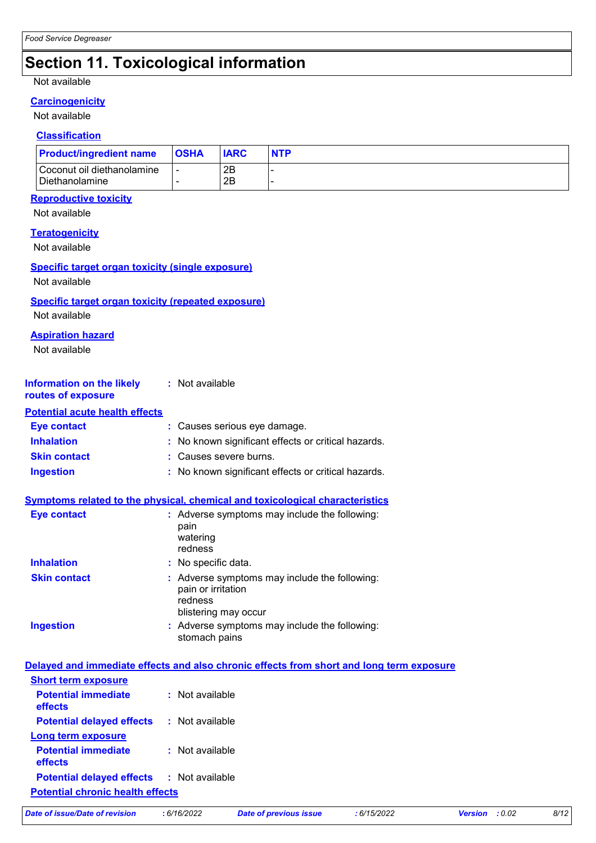# **Section 11. Toxicological information**

### Not available

### **Carcinogenicity**

### Not available

### **Classification**

| <b>Product/ingredient name</b>               | <b>OSHA</b> | <b>IARC</b> | <b>NTP</b> |
|----------------------------------------------|-------------|-------------|------------|
| Coconut oil diethanolamine<br>Diethanolamine |             | 2Β<br>2B    |            |

### **Reproductive toxicity**

Not available

| <b>Teratogenicity</b><br>Not available                                     |                                                                                                        |
|----------------------------------------------------------------------------|--------------------------------------------------------------------------------------------------------|
| Specific target organ toxicity (single exposure)<br>Not available          |                                                                                                        |
| <b>Specific target organ toxicity (repeated exposure)</b><br>Not available |                                                                                                        |
| <b>Aspiration hazard</b><br>Not available                                  |                                                                                                        |
| <b>Information on the likely</b><br>routes of exposure                     | : Not available                                                                                        |
| <b>Potential acute health effects</b>                                      |                                                                                                        |
| <b>Eye contact</b>                                                         | : Causes serious eye damage.                                                                           |
| <b>Inhalation</b>                                                          | No known significant effects or critical hazards.                                                      |
| <b>Skin contact</b>                                                        | : Causes severe burns.                                                                                 |
| <b>Ingestion</b>                                                           | : No known significant effects or critical hazards.                                                    |
|                                                                            | Symptoms related to the physical, chemical and toxicological characteristics                           |
| <b>Eye contact</b>                                                         | : Adverse symptoms may include the following:<br>pain<br>watering<br>redness                           |
| <b>Inhalation</b>                                                          | : No specific data.                                                                                    |
| <b>Skin contact</b>                                                        | : Adverse symptoms may include the following:<br>pain or irritation<br>redness<br>blistering may occur |
| <b>Ingestion</b>                                                           | : Adverse symptoms may include the following:<br>stomach pains                                         |
|                                                                            | Delayed and immediate effects and also chronic effects from short and long term exposure               |
| <b>Short term exposure</b>                                                 |                                                                                                        |
|                                                                            |                                                                                                        |

| <u>OHULL LUHIH GANUSULU</u>             |                 |
|-----------------------------------------|-----------------|
| <b>Potential immediate</b><br>effects   | : Not available |
| <b>Potential delayed effects</b>        | : Not available |
| Long term exposure                      |                 |
| <b>Potential immediate</b><br>effects   | : Not available |
| <b>Potential delayed effects</b>        | : Not available |
| <b>Potential chronic health effects</b> |                 |
|                                         |                 |

|  | Date of issue/Date of revision | : 6/ |
|--|--------------------------------|------|
|  |                                |      |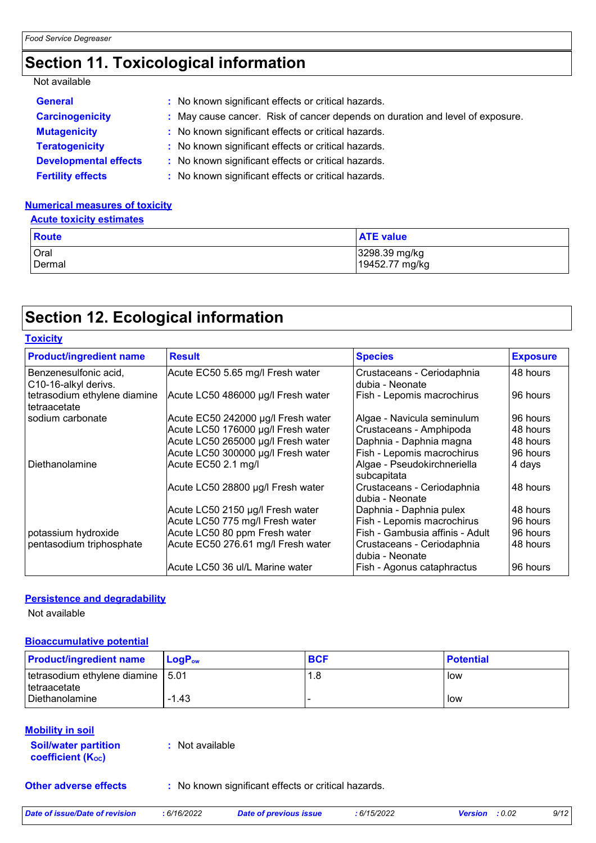# **Section 11. Toxicological information**

### Not available

| <b>General</b>               | : No known significant effects or critical hazards.                           |
|------------------------------|-------------------------------------------------------------------------------|
| <b>Carcinogenicity</b>       | : May cause cancer. Risk of cancer depends on duration and level of exposure. |
| <b>Mutagenicity</b>          | : No known significant effects or critical hazards.                           |
| <b>Teratogenicity</b>        | : No known significant effects or critical hazards.                           |
| <b>Developmental effects</b> | : No known significant effects or critical hazards.                           |
| <b>Fertility effects</b>     | : No known significant effects or critical hazards.                           |

### **Numerical measures of toxicity**

### **Acute toxicity estimates**

| <b>Route</b> | <b>ATE value</b> |
|--------------|------------------|
| Oral         | 3298.39 mg/kg    |
| Dermal       | 19452.77 mg/kg   |

# **Section 12. Ecological information**

| <b>Toxicity</b>                               |                                    |                                               |                 |
|-----------------------------------------------|------------------------------------|-----------------------------------------------|-----------------|
| <b>Product/ingredient name</b>                | <b>Result</b>                      | <b>Species</b>                                | <b>Exposure</b> |
| Benzenesulfonic acid,<br>C10-16-alkyl derivs. | Acute EC50 5.65 mg/l Fresh water   | Crustaceans - Ceriodaphnia<br>dubia - Neonate | 48 hours        |
| tetrasodium ethylene diamine<br>tetraacetate  | Acute LC50 486000 µg/l Fresh water | Fish - Lepomis macrochirus                    | 96 hours        |
| sodium carbonate                              | Acute EC50 242000 µg/l Fresh water | Algae - Navicula seminulum                    | 96 hours        |
|                                               | Acute LC50 176000 µg/l Fresh water | Crustaceans - Amphipoda                       | 48 hours        |
|                                               | Acute LC50 265000 µg/l Fresh water | Daphnia - Daphnia magna                       | 48 hours        |
|                                               | Acute LC50 300000 µg/l Fresh water | Fish - Lepomis macrochirus                    | 96 hours        |
| Diethanolamine                                | Acute EC50 2.1 mg/l                | Algae - Pseudokirchneriella<br>subcapitata    | 4 days          |
|                                               | Acute LC50 28800 µg/l Fresh water  | Crustaceans - Ceriodaphnia<br>dubia - Neonate | 48 hours        |
|                                               | Acute LC50 2150 µg/l Fresh water   | Daphnia - Daphnia pulex                       | 48 hours        |
|                                               | Acute LC50 775 mg/l Fresh water    | Fish - Lepomis macrochirus                    | 96 hours        |
| potassium hydroxide                           | Acute LC50 80 ppm Fresh water      | Fish - Gambusia affinis - Adult               | 96 hours        |
| pentasodium triphosphate                      | Acute EC50 276.61 mg/l Fresh water | Crustaceans - Ceriodaphnia<br>dubia - Neonate | 48 hours        |
|                                               | Acute LC50 36 ul/L Marine water    | Fish - Agonus cataphractus                    | 96 hours        |

#### **Persistence and degradability**

Not available

### **Bioaccumulative potential**

| <b>Product/ingredient name</b>      | $\mathsf{LogP}_\mathsf{ow}$ | <b>BCF</b> | <b>Potential</b> |
|-------------------------------------|-----------------------------|------------|------------------|
| tetrasodium ethylene diamine   5.01 |                             | 1.8        | low              |
| <i>I</i> tetraacetate               |                             |            |                  |
| Diethanolamine                      | $-1.43$                     |            | low              |

### **Mobility in soil**

| <b>Soil/water partition</b> | : Not available |
|-----------------------------|-----------------|
| <b>coefficient (Koc)</b>    |                 |

**Other adverse effects** : No known significant effects or critical hazards.

| Date of issue/Date of revision | 6/16/2022 | <b>Date of previous issue</b> | 6/15/2022 | <b>Version</b> : 0.02 | 9/12 |
|--------------------------------|-----------|-------------------------------|-----------|-----------------------|------|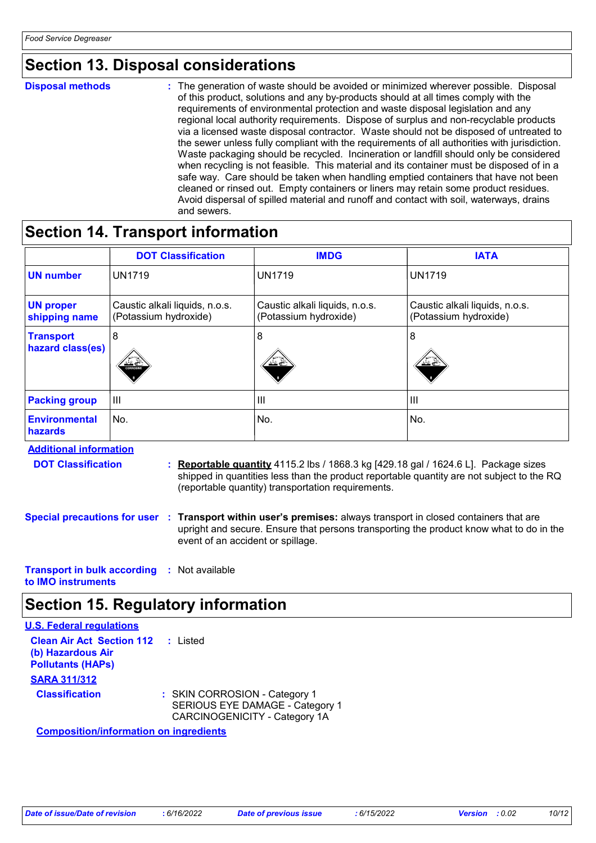### **Section 13. Disposal considerations**

**Disposal methods :**

The generation of waste should be avoided or minimized wherever possible. Disposal of this product, solutions and any by-products should at all times comply with the requirements of environmental protection and waste disposal legislation and any regional local authority requirements. Dispose of surplus and non-recyclable products via a licensed waste disposal contractor. Waste should not be disposed of untreated to the sewer unless fully compliant with the requirements of all authorities with jurisdiction. Waste packaging should be recycled. Incineration or landfill should only be considered when recycling is not feasible. This material and its container must be disposed of in a safe way. Care should be taken when handling emptied containers that have not been cleaned or rinsed out. Empty containers or liners may retain some product residues. Avoid dispersal of spilled material and runoff and contact with soil, waterways, drains and sewers.

### **Section 14. Transport information**

|                                      | <b>DOT Classification</b>                               | <b>IMDG</b>                                             | <b>IATA</b>                                             |
|--------------------------------------|---------------------------------------------------------|---------------------------------------------------------|---------------------------------------------------------|
| <b>UN number</b>                     | <b>UN1719</b>                                           | <b>UN1719</b>                                           | <b>UN1719</b>                                           |
| <b>UN proper</b><br>shipping name    | Caustic alkali liquids, n.o.s.<br>(Potassium hydroxide) | Caustic alkali liquids, n.o.s.<br>(Potassium hydroxide) | Caustic alkali liquids, n.o.s.<br>(Potassium hydroxide) |
| <b>Transport</b><br>hazard class(es) | 8<br>كالخلخ<br><b>CORROSIVE</b>                         | 8<br>کے نخ                                              | 8<br>પ≤∛                                                |
| <b>Packing group</b>                 | $\mathbf{III}$                                          | $\mathbf{III}$                                          | $\mathbf{III}$                                          |
| <b>Environmental</b><br>hazards      | No.                                                     | No.                                                     | No.                                                     |

**Additional information** 

- **DOT Classification :**
- **Reportable quantity** 4115.2 lbs / 1868.3 kg [429.18 gal / 1624.6 L]. Package sizes shipped in quantities less than the product reportable quantity are not subject to the RQ (reportable quantity) transportation requirements.
- **Special precautions for user Transport within user's premises:** always transport in closed containers that are **:** upright and secure. Ensure that persons transporting the product know what to do in the event of an accident or spillage.

**Transport in bulk according :** Not available **to IMO instruments**

# **Section 15. Regulatory information**

| <b>U.S. Federal regulations</b>                                                                                |                                                                                                   |
|----------------------------------------------------------------------------------------------------------------|---------------------------------------------------------------------------------------------------|
| <b>Clean Air Act Section 112</b><br>(b) Hazardous Air<br><b>Pollutants (HAPs)</b>                              | : Listed                                                                                          |
| <b>SARA 311/312</b>                                                                                            |                                                                                                   |
| <b>Classification</b>                                                                                          | : SKIN CORROSION - Category 1<br>SERIOUS EYE DAMAGE - Category 1<br>CARCINOGENICITY - Category 1A |
| A a constantibility of the figure of the constant of the contact of the set of the set of the set of the set o |                                                                                                   |

**Composition/information on ingredients**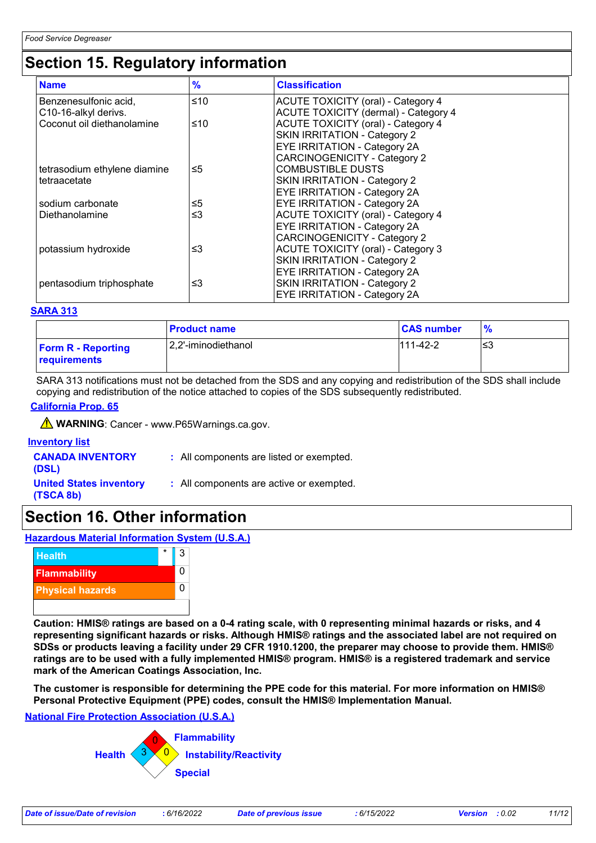## **Section 15. Regulatory information**

| <b>Name</b>                  | $\frac{9}{6}$ | <b>Classification</b>                     |  |
|------------------------------|---------------|-------------------------------------------|--|
| Benzenesulfonic acid,        | ≤10           | <b>ACUTE TOXICITY (oral) - Category 4</b> |  |
| C10-16-alkyl derivs.         |               | ACUTE TOXICITY (dermal) - Category 4      |  |
| Coconut oil diethanolamine   | ≤10           | <b>ACUTE TOXICITY (oral) - Category 4</b> |  |
|                              |               | <b>SKIN IRRITATION - Category 2</b>       |  |
|                              |               | <b>EYE IRRITATION - Category 2A</b>       |  |
|                              |               | <b>CARCINOGENICITY - Category 2</b>       |  |
| tetrasodium ethylene diamine | ≤5            | <b>COMBUSTIBLE DUSTS</b>                  |  |
| tetraacetate                 |               | <b>SKIN IRRITATION - Category 2</b>       |  |
|                              |               | <b>EYE IRRITATION - Category 2A</b>       |  |
| sodium carbonate             | ≤5            | <b>EYE IRRITATION - Category 2A</b>       |  |
| Diethanolamine               | ≤3            | <b>ACUTE TOXICITY (oral) - Category 4</b> |  |
|                              |               | <b>EYE IRRITATION - Category 2A</b>       |  |
|                              |               | <b>CARCINOGENICITY - Category 2</b>       |  |
| potassium hydroxide          | ≤3            | <b>ACUTE TOXICITY (oral) - Category 3</b> |  |
|                              |               | <b>SKIN IRRITATION - Category 2</b>       |  |
|                              |               | <b>EYE IRRITATION - Category 2A</b>       |  |
| pentasodium triphosphate     | ≤3            | SKIN IRRITATION - Category 2              |  |
|                              |               | <b>EYE IRRITATION - Category 2A</b>       |  |

#### **SARA 313**

|                                           | <b>Product name</b>  | <b>CAS number</b> |    |
|-------------------------------------------|----------------------|-------------------|----|
| <b>Form R - Reporting</b><br>requirements | 12,2'-iminodiethanol | $111-42-2$        | ≤3 |

SARA 313 notifications must not be detached from the SDS and any copying and redistribution of the SDS shall include copying and redistribution of the notice attached to copies of the SDS subsequently redistributed.

### **California Prop. 65**

**A** WARNING: Cancer - www.P65Warnings.ca.gov.

| <b>Inventory list</b>                       |                                          |
|---------------------------------------------|------------------------------------------|
| <b>CANADA INVENTORY</b><br>(DSL)            | : All components are listed or exempted. |
| <b>United States inventory</b><br>(TSCA 8b) | : All components are active or exempted. |

### **Section 16. Other information**

**Hazardous Material Information System (U.S.A.)**



**Caution: HMIS® ratings are based on a 0-4 rating scale, with 0 representing minimal hazards or risks, and 4 representing significant hazards or risks. Although HMIS® ratings and the associated label are not required on SDSs or products leaving a facility under 29 CFR 1910.1200, the preparer may choose to provide them. HMIS® ratings are to be used with a fully implemented HMIS® program. HMIS® is a registered trademark and service mark of the American Coatings Association, Inc.**

**The customer is responsible for determining the PPE code for this material. For more information on HMIS® Personal Protective Equipment (PPE) codes, consult the HMIS® Implementation Manual.**

### **National Fire Protection Association (U.S.A.)**